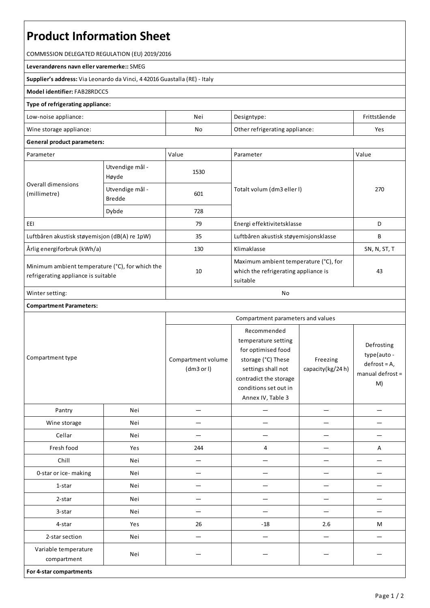# **Product Information Sheet**

COMMISSION DELEGATED REGULATION (EU) 2019/2016

#### **Leverandørens navn ellervaremerke::**SMEG

**Supplier's address:** ViaLeonardo da Vinci, 4 42016 Guastalla(RE) - Italy

## **Model identifier:**FAB28RDCC5

### **Type of refrigerating appliance:**

| Low-noise appliance:          | Nei | Designtype:                    | Frittstående |
|-------------------------------|-----|--------------------------------|--------------|
| Wine storage appliance:<br>No |     | Other refrigerating appliance: | Yes          |

### **General product parameters:**

| Parameter                                                                              |                                  | Value | Parameter                                                                                 | Value        |
|----------------------------------------------------------------------------------------|----------------------------------|-------|-------------------------------------------------------------------------------------------|--------------|
| Overall dimensions<br>(millimetre)                                                     | Utvendige mål -<br>Høyde         | 1530  |                                                                                           | 270          |
|                                                                                        | Utvendige mål -<br><b>Bredde</b> | 601   | Totalt volum (dm3 eller I)                                                                |              |
|                                                                                        | Dybde                            | 728   |                                                                                           |              |
| EEI                                                                                    |                                  | 79    | Energi effektivitetsklasse                                                                | D            |
| Luftbåren akustisk støyemisjon (dB(A) re 1pW)                                          |                                  | 35    | Luftbåren akustisk støyemisjonsklasse                                                     | В            |
| Årlig energiforbruk (kWh/a)                                                            |                                  | 130   | Klimaklasse                                                                               | SN, N, ST, T |
| Minimum ambient temperature (°C), for which the<br>refrigerating appliance is suitable |                                  | 10    | Maximum ambient temperature (°C), for<br>which the refrigerating appliance is<br>suitable | 43           |
| Winter setting:                                                                        |                                  | No    |                                                                                           |              |

|                                     |     |                                  |                                                                                                                                                                              | Compartment parameters and values |                                                                       |  |  |
|-------------------------------------|-----|----------------------------------|------------------------------------------------------------------------------------------------------------------------------------------------------------------------------|-----------------------------------|-----------------------------------------------------------------------|--|--|
| Compartment type                    |     | Compartment volume<br>(dm3 or l) | Recommended<br>temperature setting<br>for optimised food<br>storage (°C) These<br>settings shall not<br>contradict the storage<br>conditions set out in<br>Annex IV, Table 3 | Freezing<br>capacity(kg/24h)      | Defrosting<br>type(auto -<br>$defrost = A,$<br>manual defrost =<br>M) |  |  |
| Pantry                              | Nei |                                  |                                                                                                                                                                              |                                   |                                                                       |  |  |
| Wine storage                        | Nei |                                  |                                                                                                                                                                              |                                   |                                                                       |  |  |
| Cellar                              | Nei |                                  |                                                                                                                                                                              |                                   |                                                                       |  |  |
| Fresh food                          | Yes | 244                              | $\overline{4}$                                                                                                                                                               |                                   | Α                                                                     |  |  |
| Chill                               | Nei |                                  |                                                                                                                                                                              |                                   |                                                                       |  |  |
| 0-star or ice-making                | Nei |                                  |                                                                                                                                                                              |                                   |                                                                       |  |  |
| 1-star                              | Nei |                                  |                                                                                                                                                                              |                                   |                                                                       |  |  |
| 2-star                              | Nei |                                  |                                                                                                                                                                              |                                   |                                                                       |  |  |
| 3-star                              | Nei |                                  |                                                                                                                                                                              |                                   |                                                                       |  |  |
| 4-star                              | Yes | 26                               | $-18$                                                                                                                                                                        | 2.6                               | M                                                                     |  |  |
| 2-star section                      | Nei |                                  | $\overline{\phantom{0}}$                                                                                                                                                     | $\overline{\phantom{0}}$          |                                                                       |  |  |
| Variable temperature<br>compartment | Nei |                                  |                                                                                                                                                                              |                                   |                                                                       |  |  |